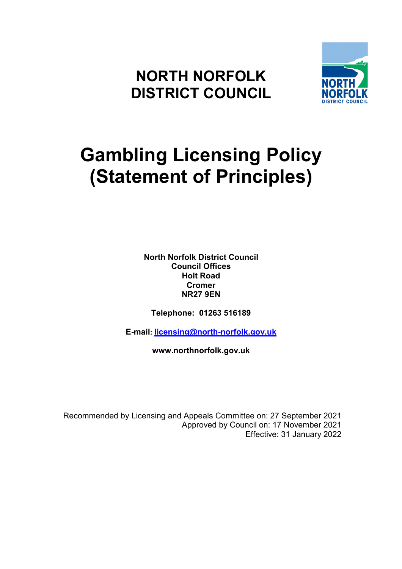# **NORTH NORFOLK DISTRICT COUNCIL**



# **Gambling Licensing Policy (Statement of Principles)**

**North Norfolk District Council Council Offices Holt Road Cromer NR27 9EN** 

**Telephone: 01263 516189** 

**E-mail: licensing@north-norfolk.gov.uk** 

**www.northnorfolk.gov.uk** 

Recommended by Licensing and Appeals Committee on: 27 September 2021 Approved by Council on: 17 November 2021 Effective: 31 January 2022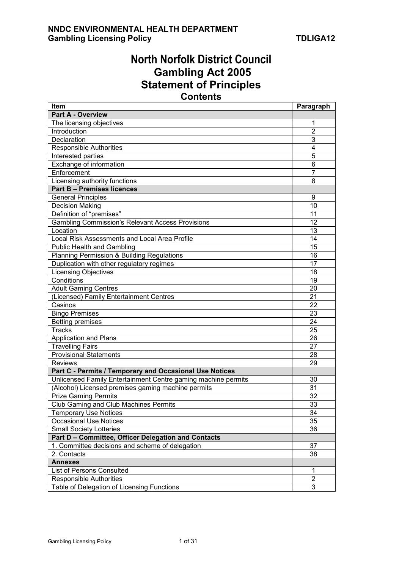# **North Norfolk District Council Gambling Act 2005 Statement of Principles Contents**

| ltem                                                          | Paragraph      |  |  |  |
|---------------------------------------------------------------|----------------|--|--|--|
| Part A - Overview                                             |                |  |  |  |
| The licensing objectives                                      | 1              |  |  |  |
| Introduction                                                  | $\overline{2}$ |  |  |  |
| Declaration                                                   | 3              |  |  |  |
| <b>Responsible Authorities</b>                                | 4              |  |  |  |
| Interested parties                                            | $\overline{5}$ |  |  |  |
| Exchange of information                                       | 6              |  |  |  |
| Enforcement                                                   | $\overline{7}$ |  |  |  |
| Licensing authority functions                                 | 8              |  |  |  |
| <b>Part B - Premises licences</b>                             |                |  |  |  |
| <b>General Principles</b>                                     | 9              |  |  |  |
| <b>Decision Making</b>                                        | 10             |  |  |  |
| Definition of "premises"                                      | 11             |  |  |  |
| <b>Gambling Commission's Relevant Access Provisions</b>       | 12             |  |  |  |
| Location                                                      | 13             |  |  |  |
| Local Risk Assessments and Local Area Profile                 | 14             |  |  |  |
| <b>Public Health and Gambling</b>                             | 15             |  |  |  |
| Planning Permission & Building Regulations                    | 16             |  |  |  |
| Duplication with other regulatory regimes                     | 17             |  |  |  |
| <b>Licensing Objectives</b>                                   | 18             |  |  |  |
| Conditions                                                    | 19             |  |  |  |
| <b>Adult Gaming Centres</b>                                   | 20             |  |  |  |
| (Licensed) Family Entertainment Centres                       | 21             |  |  |  |
| Casinos                                                       | 22             |  |  |  |
| <b>Bingo Premises</b>                                         | 23             |  |  |  |
| <b>Betting premises</b>                                       | 24             |  |  |  |
| <b>Tracks</b>                                                 | 25             |  |  |  |
| Application and Plans                                         | 26             |  |  |  |
| <b>Travelling Fairs</b>                                       | 27             |  |  |  |
| <b>Provisional Statements</b>                                 | 28             |  |  |  |
| <b>Reviews</b>                                                | 29             |  |  |  |
| Part C - Permits / Temporary and Occasional Use Notices       |                |  |  |  |
| Unlicensed Family Entertainment Centre gaming machine permits | 30             |  |  |  |
| (Alcohol) Licensed premises gaming machine permits            | 31             |  |  |  |
| <b>Prize Gaming Permits</b>                                   | 32             |  |  |  |
| <b>Club Gaming and Club Machines Permits</b>                  | 33             |  |  |  |
| <b>Temporary Use Notices</b>                                  | 34             |  |  |  |
| <b>Occasional Use Notices</b>                                 | 35             |  |  |  |
| <b>Small Society Lotteries</b>                                | 36             |  |  |  |
| Part D - Committee, Officer Delegation and Contacts           |                |  |  |  |
| 1. Committee decisions and scheme of delegation               | 37             |  |  |  |
| 2. Contacts                                                   |                |  |  |  |
| <b>Annexes</b>                                                |                |  |  |  |
| <b>List of Persons Consulted</b>                              | 1              |  |  |  |
| <b>Responsible Authorities</b>                                | $\overline{2}$ |  |  |  |
| Table of Delegation of Licensing Functions                    |                |  |  |  |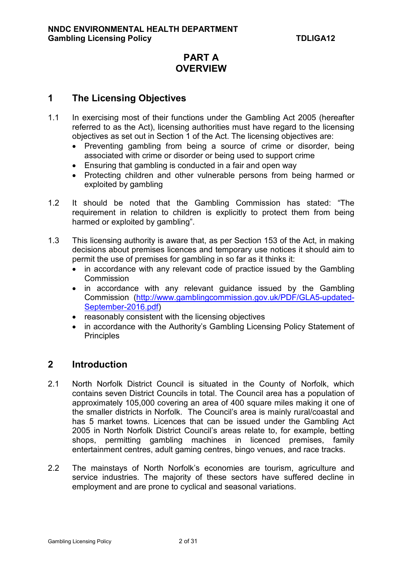# **PART A OVERVIEW**

# **1 The Licensing Objectives**

- 1.1 In exercising most of their functions under the Gambling Act 2005 (hereafter referred to as the Act), licensing authorities must have regard to the licensing objectives as set out in Section 1 of the Act. The licensing objectives are:
	- Preventing gambling from being a source of crime or disorder, being associated with crime or disorder or being used to support crime
	- Ensuring that gambling is conducted in a fair and open way
	- Protecting children and other vulnerable persons from being harmed or exploited by gambling
- 1.2 It should be noted that the Gambling Commission has stated: "The requirement in relation to children is explicitly to protect them from being harmed or exploited by gambling".
- 1.3 This licensing authority is aware that, as per Section 153 of the Act, in making decisions about premises licences and temporary use notices it should aim to permit the use of premises for gambling in so far as it thinks it:
	- in accordance with any relevant code of practice issued by the Gambling **Commission**
	- in accordance with any relevant guidance issued by the Gambling Commission (http://www.gamblingcommission.gov.uk/PDF/GLA5-updated-September-2016.pdf)
	- reasonably consistent with the licensing objectives
	- in accordance with the Authority's Gambling Licensing Policy Statement of **Principles**

# **2 Introduction**

- 2.1 North Norfolk District Council is situated in the County of Norfolk, which contains seven District Councils in total. The Council area has a population of approximately 105,000 covering an area of 400 square miles making it one of the smaller districts in Norfolk. The Council's area is mainly rural/coastal and has 5 market towns. Licences that can be issued under the Gambling Act 2005 in North Norfolk District Council's areas relate to, for example, betting shops, permitting gambling machines in licenced premises, family entertainment centres, adult gaming centres, bingo venues, and race tracks.
- 2.2 The mainstays of North Norfolk's economies are tourism, agriculture and service industries. The majority of these sectors have suffered decline in employment and are prone to cyclical and seasonal variations.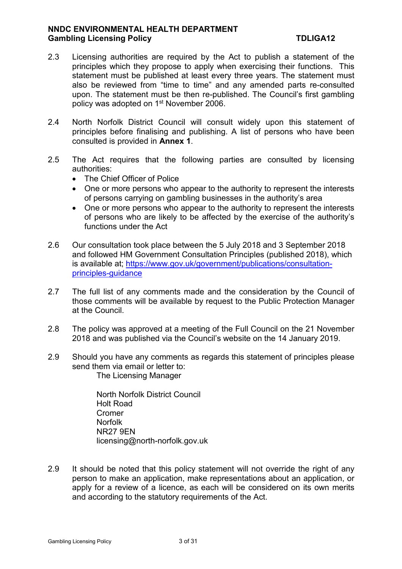- 2.3 Licensing authorities are required by the Act to publish a statement of the principles which they propose to apply when exercising their functions. This statement must be published at least every three years. The statement must also be reviewed from "time to time" and any amended parts re-consulted upon. The statement must be then re-published. The Council's first gambling policy was adopted on 1<sup>st</sup> November 2006.
- 2.4 North Norfolk District Council will consult widely upon this statement of principles before finalising and publishing. A list of persons who have been consulted is provided in **Annex 1**.
- 2.5 The Act requires that the following parties are consulted by licensing authorities:
	- The Chief Officer of Police
	- One or more persons who appear to the authority to represent the interests of persons carrying on gambling businesses in the authority's area
	- One or more persons who appear to the authority to represent the interests of persons who are likely to be affected by the exercise of the authority's functions under the Act
- 2.6 Our consultation took place between the 5 July 2018 and 3 September 2018 and followed HM Government Consultation Principles (published 2018), which is available at; https://www.gov.uk/government/publications/consultationprinciples-guidance
- 2.7 The full list of any comments made and the consideration by the Council of those comments will be available by request to the Public Protection Manager at the Council.
- 2.8 The policy was approved at a meeting of the Full Council on the 21 November 2018 and was published via the Council's website on the 14 January 2019.
- 2.9 Should you have any comments as regards this statement of principles please send them via email or letter to: The Licensing Manager

 North Norfolk District Council Holt Road Cromer Norfolk NR27 9EN licensing@north-norfolk.gov.uk

2.9 It should be noted that this policy statement will not override the right of any person to make an application, make representations about an application, or apply for a review of a licence, as each will be considered on its own merits and according to the statutory requirements of the Act.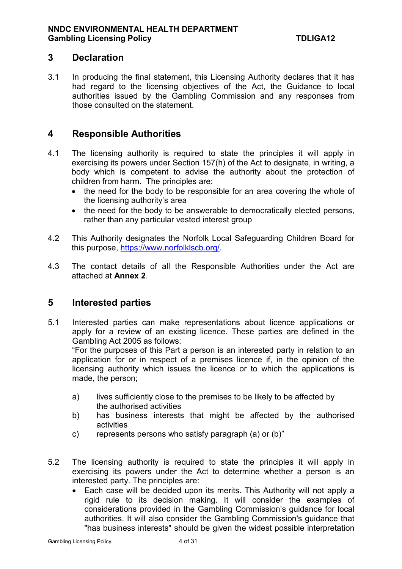# **3 Declaration**

3.1 In producing the final statement, this Licensing Authority declares that it has had regard to the licensing objectives of the Act, the Guidance to local authorities issued by the Gambling Commission and any responses from those consulted on the statement.

# **4 Responsible Authorities**

- 4.1 The licensing authority is required to state the principles it will apply in exercising its powers under Section 157(h) of the Act to designate, in writing, a body which is competent to advise the authority about the protection of children from harm. The principles are:
	- the need for the body to be responsible for an area covering the whole of the licensing authority's area
	- the need for the body to be answerable to democratically elected persons, rather than any particular vested interest group
- 4.2 This Authority designates the Norfolk Local Safeguarding Children Board for this purpose, https://www.norfolklscb.org/.
- 4.3 The contact details of all the Responsible Authorities under the Act are attached at **Annex 2**.

# **5 Interested parties**

5.1 Interested parties can make representations about licence applications or apply for a review of an existing licence. These parties are defined in the Gambling Act 2005 as follows:

"For the purposes of this Part a person is an interested party in relation to an application for or in respect of a premises licence if, in the opinion of the licensing authority which issues the licence or to which the applications is made, the person;

- a) lives sufficiently close to the premises to be likely to be affected by the authorised activities
- b) has business interests that might be affected by the authorised activities
- c) represents persons who satisfy paragraph (a) or (b)"
- 5.2 The licensing authority is required to state the principles it will apply in exercising its powers under the Act to determine whether a person is an interested party. The principles are:
	- Each case will be decided upon its merits. This Authority will not apply a rigid rule to its decision making. It will consider the examples of considerations provided in the Gambling Commission's guidance for local authorities. It will also consider the Gambling Commission's guidance that "has business interests" should be given the widest possible interpretation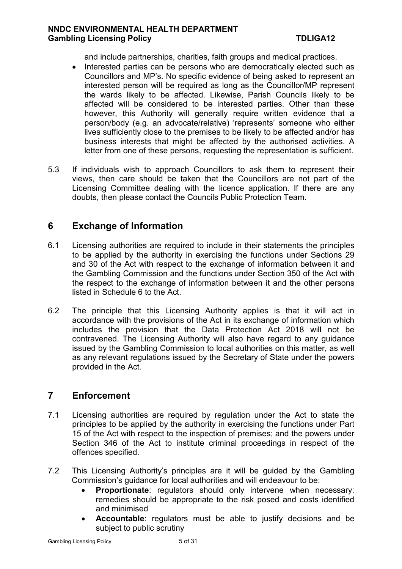and include partnerships, charities, faith groups and medical practices.

- Interested parties can be persons who are democratically elected such as Councillors and MP's. No specific evidence of being asked to represent an interested person will be required as long as the Councillor/MP represent the wards likely to be affected. Likewise, Parish Councils likely to be affected will be considered to be interested parties. Other than these however, this Authority will generally require written evidence that a person/body (e.g. an advocate/relative) 'represents' someone who either lives sufficiently close to the premises to be likely to be affected and/or has business interests that might be affected by the authorised activities. A letter from one of these persons, requesting the representation is sufficient.
- 5.3 If individuals wish to approach Councillors to ask them to represent their views, then care should be taken that the Councillors are not part of the Licensing Committee dealing with the licence application. If there are any doubts, then please contact the Councils Public Protection Team.

# **6 Exchange of Information**

- 6.1 Licensing authorities are required to include in their statements the principles to be applied by the authority in exercising the functions under Sections 29 and 30 of the Act with respect to the exchange of information between it and the Gambling Commission and the functions under Section 350 of the Act with the respect to the exchange of information between it and the other persons listed in Schedule 6 to the Act.
- 6.2 The principle that this Licensing Authority applies is that it will act in accordance with the provisions of the Act in its exchange of information which includes the provision that the Data Protection Act 2018 will not be contravened. The Licensing Authority will also have regard to any guidance issued by the Gambling Commission to local authorities on this matter, as well as any relevant regulations issued by the Secretary of State under the powers provided in the Act.

# **7 Enforcement**

- 7.1 Licensing authorities are required by regulation under the Act to state the principles to be applied by the authority in exercising the functions under Part 15 of the Act with respect to the inspection of premises; and the powers under Section 346 of the Act to institute criminal proceedings in respect of the offences specified.
- 7.2 This Licensing Authority's principles are it will be guided by the Gambling Commission's guidance for local authorities and will endeavour to be:
	- **Proportionate**: regulators should only intervene when necessary: remedies should be appropriate to the risk posed and costs identified and minimised
	- **Accountable**: regulators must be able to justify decisions and be subject to public scrutiny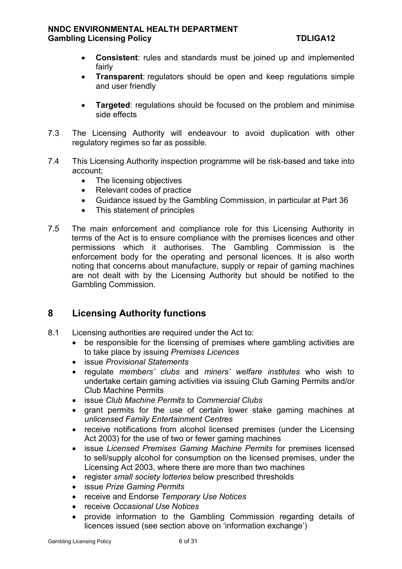- **Consistent**: rules and standards must be joined up and implemented fairly
- **Transparent**: regulators should be open and keep regulations simple and user friendly
- **Targeted:** regulations should be focused on the problem and minimise side effects
- 7.3 The Licensing Authority will endeavour to avoid duplication with other regulatory regimes so far as possible.
- 7.4 This Licensing Authority inspection programme will be risk-based and take into account;
	- The licensing objectives
	- Relevant codes of practice
	- Guidance issued by the Gambling Commission, in particular at Part 36
	- This statement of principles
- 7.5 The main enforcement and compliance role for this Licensing Authority in terms of the Act is to ensure compliance with the premises licences and other permissions which it authorises. The Gambling Commission is the enforcement body for the operating and personal licences. It is also worth noting that concerns about manufacture, supply or repair of gaming machines are not dealt with by the Licensing Authority but should be notified to the Gambling Commission.

# **8 Licensing Authority functions**

- 8.1 Licensing authorities are required under the Act to:
	- be responsible for the licensing of premises where gambling activities are to take place by issuing *Premises Licences*
	- issue *Provisional Statements*
	- regulate *members' clubs* and *miners' welfare institutes* who wish to undertake certain gaming activities via issuing Club Gaming Permits and/or Club Machine Permits
	- issue *Club Machine Permits* to *Commercial Clubs*
	- grant permits for the use of certain lower stake gaming machines at *unlicensed Family Entertainment Centres*
	- receive notifications from alcohol licensed premises (under the Licensing Act 2003) for the use of two or fewer gaming machines
	- issue *Licensed Premises Gaming Machine Permits* for premises licensed to sell/supply alcohol for consumption on the licensed premises, under the Licensing Act 2003, where there are more than two machines
	- register *small society lotteries* below prescribed thresholds
	- issue *Prize Gaming Permits*
	- receive and Endorse *Temporary Use Notices*
	- receive *Occasional Use Notices*
	- provide information to the Gambling Commission regarding details of licences issued (see section above on 'information exchange')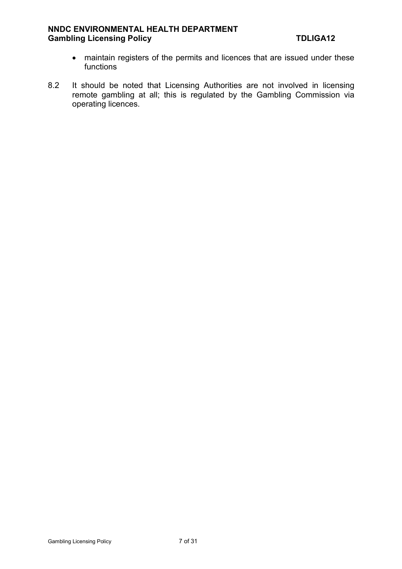- maintain registers of the permits and licences that are issued under these functions
- 8.2 It should be noted that Licensing Authorities are not involved in licensing remote gambling at all; this is regulated by the Gambling Commission via operating licences.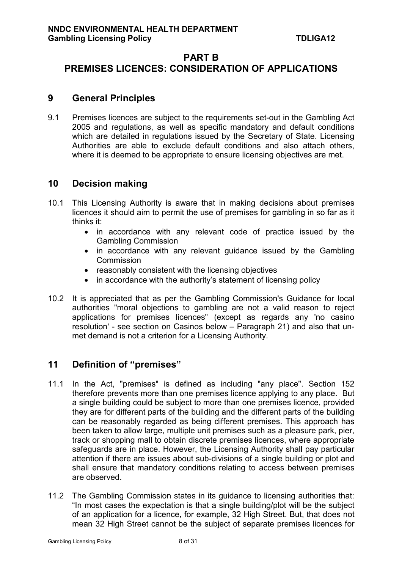# **PART B PREMISES LICENCES: CONSIDERATION OF APPLICATIONS**

# **9 General Principles**

9.1 Premises licences are subject to the requirements set-out in the Gambling Act 2005 and regulations, as well as specific mandatory and default conditions which are detailed in regulations issued by the Secretary of State. Licensing Authorities are able to exclude default conditions and also attach others, where it is deemed to be appropriate to ensure licensing objectives are met.

# **10 Decision making**

- 10.1 This Licensing Authority is aware that in making decisions about premises licences it should aim to permit the use of premises for gambling in so far as it thinks it:
	- in accordance with any relevant code of practice issued by the Gambling Commission
	- in accordance with any relevant guidance issued by the Gambling **Commission**
	- reasonably consistent with the licensing objectives
	- in accordance with the authority's statement of licensing policy
- 10.2 It is appreciated that as per the Gambling Commission's Guidance for local authorities "moral objections to gambling are not a valid reason to reject applications for premises licences" (except as regards any 'no casino resolution' - see section on Casinos below – Paragraph 21) and also that unmet demand is not a criterion for a Licensing Authority.

# **11 Definition of "premises"**

- 11.1 In the Act, "premises" is defined as including "any place". Section 152 therefore prevents more than one premises licence applying to any place. But a single building could be subject to more than one premises licence, provided they are for different parts of the building and the different parts of the building can be reasonably regarded as being different premises. This approach has been taken to allow large, multiple unit premises such as a pleasure park, pier, track or shopping mall to obtain discrete premises licences, where appropriate safeguards are in place. However, the Licensing Authority shall pay particular attention if there are issues about sub-divisions of a single building or plot and shall ensure that mandatory conditions relating to access between premises are observed.
- 11.2 The Gambling Commission states in its guidance to licensing authorities that: "In most cases the expectation is that a single building/plot will be the subject of an application for a licence, for example, 32 High Street. But, that does not mean 32 High Street cannot be the subject of separate premises licences for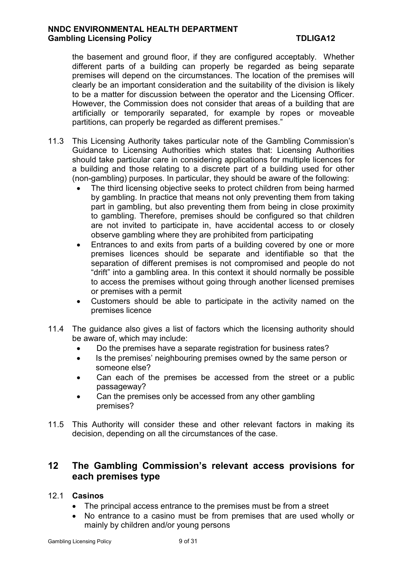the basement and ground floor, if they are configured acceptably. Whether different parts of a building can properly be regarded as being separate premises will depend on the circumstances. The location of the premises will clearly be an important consideration and the suitability of the division is likely to be a matter for discussion between the operator and the Licensing Officer. However, the Commission does not consider that areas of a building that are artificially or temporarily separated, for example by ropes or moveable partitions, can properly be regarded as different premises."

- 11.3 This Licensing Authority takes particular note of the Gambling Commission's Guidance to Licensing Authorities which states that: Licensing Authorities should take particular care in considering applications for multiple licences for a building and those relating to a discrete part of a building used for other (non-gambling) purposes. In particular, they should be aware of the following:
	- The third licensing objective seeks to protect children from being harmed by gambling. In practice that means not only preventing them from taking part in gambling, but also preventing them from being in close proximity to gambling. Therefore, premises should be configured so that children are not invited to participate in, have accidental access to or closely observe gambling where they are prohibited from participating
	- Entrances to and exits from parts of a building covered by one or more premises licences should be separate and identifiable so that the separation of different premises is not compromised and people do not "drift" into a gambling area. In this context it should normally be possible to access the premises without going through another licensed premises or premises with a permit
	- Customers should be able to participate in the activity named on the premises licence
- 11.4 The guidance also gives a list of factors which the licensing authority should be aware of, which may include:
	- Do the premises have a separate registration for business rates?
	- Is the premises' neighbouring premises owned by the same person or someone else?
	- Can each of the premises be accessed from the street or a public passageway?
	- Can the premises only be accessed from any other gambling premises?
- 11.5 This Authority will consider these and other relevant factors in making its decision, depending on all the circumstances of the case.

# **12 The Gambling Commission's relevant access provisions for each premises type**

### 12.1 **Casinos**

- The principal access entrance to the premises must be from a street
- No entrance to a casino must be from premises that are used wholly or mainly by children and/or young persons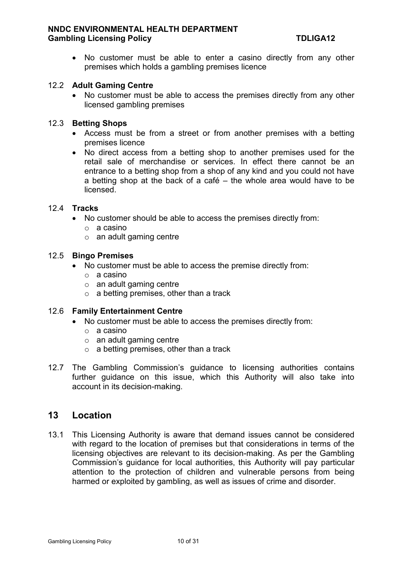No customer must be able to enter a casino directly from any other premises which holds a gambling premises licence

#### 12.2 **Adult Gaming Centre**

• No customer must be able to access the premises directly from any other licensed gambling premises

#### 12.3 **Betting Shops**

- Access must be from a street or from another premises with a betting premises licence
- No direct access from a betting shop to another premises used for the retail sale of merchandise or services. In effect there cannot be an entrance to a betting shop from a shop of any kind and you could not have a betting shop at the back of a café – the whole area would have to be licensed.

#### 12.4 **Tracks**

- No customer should be able to access the premises directly from:
	- o a casino
	- $\circ$  an adult gaming centre

#### 12.5 **Bingo Premises**

- No customer must be able to access the premise directly from:
	- o a casino
	- $\circ$  an adult gaming centre
	- $\circ$  a betting premises, other than a track

#### 12.6 **Family Entertainment Centre**

- No customer must be able to access the premises directly from:
	- o a casino
	- $\circ$  an adult gaming centre
	- $\circ$  a betting premises, other than a track
- 12.7 The Gambling Commission's guidance to licensing authorities contains further guidance on this issue, which this Authority will also take into account in its decision-making.

### **13 Location**

13.1 This Licensing Authority is aware that demand issues cannot be considered with regard to the location of premises but that considerations in terms of the licensing objectives are relevant to its decision-making. As per the Gambling Commission's guidance for local authorities, this Authority will pay particular attention to the protection of children and vulnerable persons from being harmed or exploited by gambling, as well as issues of crime and disorder.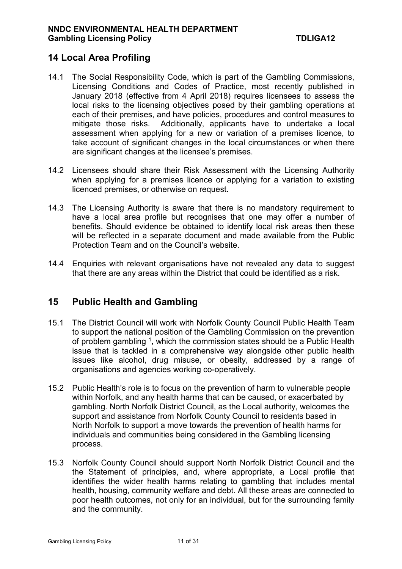# **14 Local Area Profiling**

- 14.1 The Social Responsibility Code, which is part of the Gambling Commissions, Licensing Conditions and Codes of Practice, most recently published in January 2018 (effective from 4 April 2018) requires licensees to assess the local risks to the licensing objectives posed by their gambling operations at each of their premises, and have policies, procedures and control measures to mitigate those risks. Additionally, applicants have to undertake a local assessment when applying for a new or variation of a premises licence, to take account of significant changes in the local circumstances or when there are significant changes at the licensee's premises.
- 14.2 Licensees should share their Risk Assessment with the Licensing Authority when applying for a premises licence or applying for a variation to existing licenced premises, or otherwise on request.
- 14.3 The Licensing Authority is aware that there is no mandatory requirement to have a local area profile but recognises that one may offer a number of benefits. Should evidence be obtained to identify local risk areas then these will be reflected in a separate document and made available from the Public Protection Team and on the Council's website.
- 14.4 Enquiries with relevant organisations have not revealed any data to suggest that there are any areas within the District that could be identified as a risk.

# **15 Public Health and Gambling**

- 15.1 The District Council will work with Norfolk County Council Public Health Team to support the national position of the Gambling Commission on the prevention of problem gambling  $^1$ , which the commission states should be a Public Health issue that is tackled in a comprehensive way alongside other public health issues like alcohol, drug misuse, or obesity, addressed by a range of organisations and agencies working co-operatively.
- 15.2 Public Health's role is to focus on the prevention of harm to vulnerable people within Norfolk, and any health harms that can be caused, or exacerbated by gambling. North Norfolk District Council, as the Local authority, welcomes the support and assistance from Norfolk County Council to residents based in North Norfolk to support a move towards the prevention of health harms for individuals and communities being considered in the Gambling licensing process.
- 15.3 Norfolk County Council should support North Norfolk District Council and the the Statement of principles, and, where appropriate, a Local profile that identifies the wider health harms relating to gambling that includes mental health, housing, community welfare and debt. All these areas are connected to poor health outcomes, not only for an individual, but for the surrounding family and the community.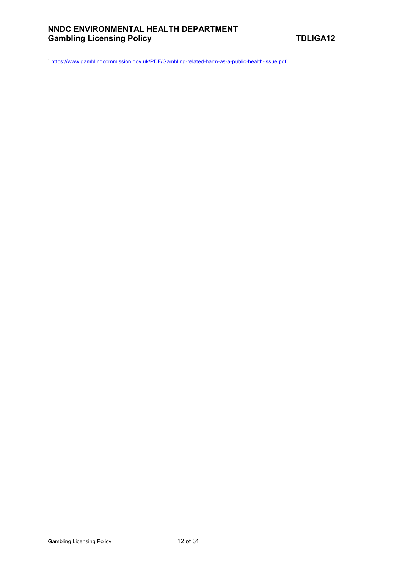<sup>1</sup> https://www.gamblingcommission.gov.uk/PDF/Gambling-related-harm-as-a-public-health-issue.pdf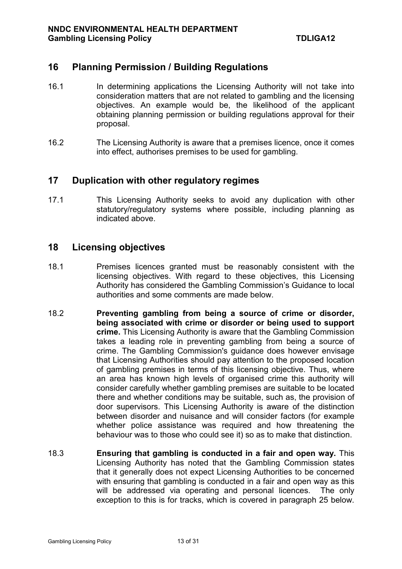# **16 Planning Permission / Building Regulations**

- 16.1 In determining applications the Licensing Authority will not take into consideration matters that are not related to gambling and the licensing objectives. An example would be, the likelihood of the applicant obtaining planning permission or building regulations approval for their proposal.
- 16.2 The Licensing Authority is aware that a premises licence, once it comes into effect, authorises premises to be used for gambling.

# **17 Duplication with other regulatory regimes**

17.1 This Licensing Authority seeks to avoid any duplication with other statutory/regulatory systems where possible, including planning as indicated above.

### **18 Licensing objectives**

- 18.1 Premises licences granted must be reasonably consistent with the licensing objectives. With regard to these objectives, this Licensing Authority has considered the Gambling Commission's Guidance to local authorities and some comments are made below.
- 18.2 **Preventing gambling from being a source of crime or disorder, being associated with crime or disorder or being used to support crime.** This Licensing Authority is aware that the Gambling Commission takes a leading role in preventing gambling from being a source of crime. The Gambling Commission's guidance does however envisage that Licensing Authorities should pay attention to the proposed location of gambling premises in terms of this licensing objective. Thus, where an area has known high levels of organised crime this authority will consider carefully whether gambling premises are suitable to be located there and whether conditions may be suitable, such as, the provision of door supervisors. This Licensing Authority is aware of the distinction between disorder and nuisance and will consider factors (for example whether police assistance was required and how threatening the behaviour was to those who could see it) so as to make that distinction.
- 18.3 **Ensuring that gambling is conducted in a fair and open way.** This Licensing Authority has noted that the Gambling Commission states that it generally does not expect Licensing Authorities to be concerned with ensuring that gambling is conducted in a fair and open way as this will be addressed via operating and personal licences. The only exception to this is for tracks, which is covered in paragraph 25 below.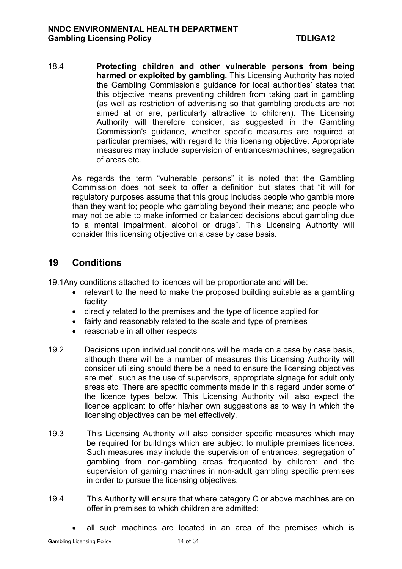18.4 **Protecting children and other vulnerable persons from being harmed or exploited by gambling.** This Licensing Authority has noted the Gambling Commission's guidance for local authorities' states that this objective means preventing children from taking part in gambling (as well as restriction of advertising so that gambling products are not aimed at or are, particularly attractive to children). The Licensing Authority will therefore consider, as suggested in the Gambling Commission's guidance, whether specific measures are required at particular premises, with regard to this licensing objective. Appropriate measures may include supervision of entrances/machines, segregation of areas etc.

As regards the term "vulnerable persons" it is noted that the Gambling Commission does not seek to offer a definition but states that "it will for regulatory purposes assume that this group includes people who gamble more than they want to; people who gambling beyond their means; and people who may not be able to make informed or balanced decisions about gambling due to a mental impairment, alcohol or drugs". This Licensing Authority will consider this licensing objective on a case by case basis.

# **19 Conditions**

19.1Any conditions attached to licences will be proportionate and will be:

- relevant to the need to make the proposed building suitable as a gambling facility
- directly related to the premises and the type of licence applied for
- fairly and reasonably related to the scale and type of premises
- reasonable in all other respects
- 19.2 Decisions upon individual conditions will be made on a case by case basis, although there will be a number of measures this Licensing Authority will consider utilising should there be a need to ensure the licensing objectives are met'. such as the use of supervisors, appropriate signage for adult only areas etc. There are specific comments made in this regard under some of the licence types below. This Licensing Authority will also expect the licence applicant to offer his/her own suggestions as to way in which the licensing objectives can be met effectively.
- 19.3 This Licensing Authority will also consider specific measures which may be required for buildings which are subject to multiple premises licences. Such measures may include the supervision of entrances; segregation of gambling from non-gambling areas frequented by children; and the supervision of gaming machines in non-adult gambling specific premises in order to pursue the licensing objectives.
- 19.4 This Authority will ensure that where category C or above machines are on offer in premises to which children are admitted:
	- all such machines are located in an area of the premises which is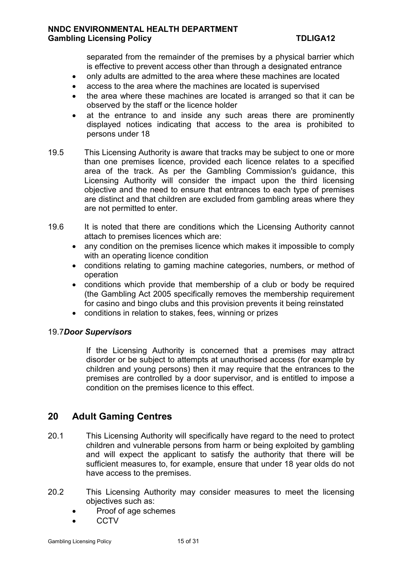separated from the remainder of the premises by a physical barrier which is effective to prevent access other than through a designated entrance

- only adults are admitted to the area where these machines are located
- access to the area where the machines are located is supervised
- the area where these machines are located is arranged so that it can be observed by the staff or the licence holder
- at the entrance to and inside any such areas there are prominently displayed notices indicating that access to the area is prohibited to persons under 18
- 19.5 This Licensing Authority is aware that tracks may be subject to one or more than one premises licence, provided each licence relates to a specified area of the track. As per the Gambling Commission's guidance, this Licensing Authority will consider the impact upon the third licensing objective and the need to ensure that entrances to each type of premises are distinct and that children are excluded from gambling areas where they are not permitted to enter.
- 19.6 It is noted that there are conditions which the Licensing Authority cannot attach to premises licences which are:
	- any condition on the premises licence which makes it impossible to comply with an operating licence condition
	- conditions relating to gaming machine categories, numbers, or method of operation
	- conditions which provide that membership of a club or body be required (the Gambling Act 2005 specifically removes the membership requirement for casino and bingo clubs and this provision prevents it being reinstated
	- conditions in relation to stakes, fees, winning or prizes

#### 19.7*Door Supervisors*

If the Licensing Authority is concerned that a premises may attract disorder or be subject to attempts at unauthorised access (for example by children and young persons) then it may require that the entrances to the premises are controlled by a door supervisor, and is entitled to impose a condition on the premises licence to this effect.

# **20 Adult Gaming Centres**

- 20.1 This Licensing Authority will specifically have regard to the need to protect children and vulnerable persons from harm or being exploited by gambling and will expect the applicant to satisfy the authority that there will be sufficient measures to, for example, ensure that under 18 year olds do not have access to the premises.
- 20.2 This Licensing Authority may consider measures to meet the licensing objectives such as:
	- Proof of age schemes
	- **CCTV**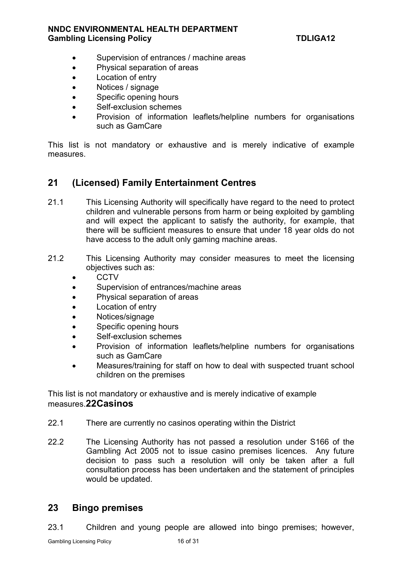- Supervision of entrances / machine areas
- Physical separation of areas
- Location of entry
- Notices / signage
- Specific opening hours
- Self-exclusion schemes
- Provision of information leaflets/helpline numbers for organisations such as GamCare

This list is not mandatory or exhaustive and is merely indicative of example measures.

# **21 (Licensed) Family Entertainment Centres**

- 21.1 This Licensing Authority will specifically have regard to the need to protect children and vulnerable persons from harm or being exploited by gambling and will expect the applicant to satisfy the authority, for example, that there will be sufficient measures to ensure that under 18 year olds do not have access to the adult only gaming machine areas.
- 21.2 This Licensing Authority may consider measures to meet the licensing objectives such as:
	- CCTV
	- Supervision of entrances/machine areas
	- Physical separation of areas
	- Location of entry
	- Notices/signage
	- Specific opening hours
	- Self-exclusion schemes
	- Provision of information leaflets/helpline numbers for organisations such as GamCare
	- Measures/training for staff on how to deal with suspected truant school children on the premises

This list is not mandatory or exhaustive and is merely indicative of example measures.**22 Casinos** 

- 22.1 There are currently no casinos operating within the District
- 22.2 The Licensing Authority has not passed a resolution under S166 of the Gambling Act 2005 not to issue casino premises licences. Any future decision to pass such a resolution will only be taken after a full consultation process has been undertaken and the statement of principles would be updated.

# **23 Bingo premises**

23.1 Children and young people are allowed into bingo premises; however,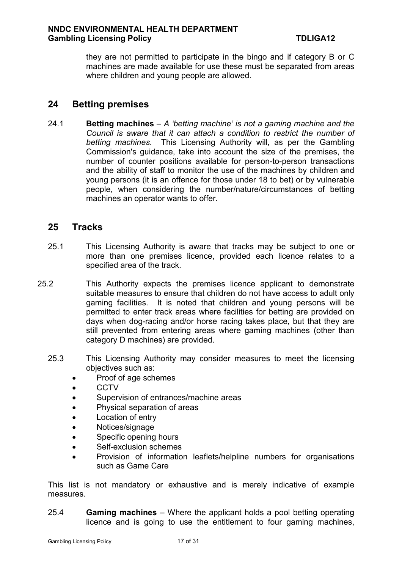they are not permitted to participate in the bingo and if category B or C machines are made available for use these must be separated from areas where children and young people are allowed.

# **24 Betting premises**

24.1 **Betting machines** *– A 'betting machine' is not a gaming machine and the Council is aware that it can attach a condition to restrict the number of betting machines.* This Licensing Authority will, as per the Gambling Commission's guidance, take into account the size of the premises, the number of counter positions available for person-to-person transactions and the ability of staff to monitor the use of the machines by children and young persons (it is an offence for those under 18 to bet) or by vulnerable people, when considering the number/nature/circumstances of betting machines an operator wants to offer.

# **25 Tracks**

- 25.1 This Licensing Authority is aware that tracks may be subject to one or more than one premises licence, provided each licence relates to a specified area of the track.
- 25.2 This Authority expects the premises licence applicant to demonstrate suitable measures to ensure that children do not have access to adult only gaming facilities. It is noted that children and young persons will be permitted to enter track areas where facilities for betting are provided on days when dog-racing and/or horse racing takes place, but that they are still prevented from entering areas where gaming machines (other than category D machines) are provided.
	- 25.3 This Licensing Authority may consider measures to meet the licensing objectives such as:
		- Proof of age schemes
		- $\bullet$  CCTV
		- Supervision of entrances/machine areas
		- Physical separation of areas
		- Location of entry
		- Notices/signage
		- Specific opening hours
		- Self-exclusion schemes
		- Provision of information leaflets/helpline numbers for organisations such as Game Care

This list is not mandatory or exhaustive and is merely indicative of example measures.

25.4 **Gaming machines** *–* Where the applicant holds a pool betting operating licence and is going to use the entitlement to four gaming machines,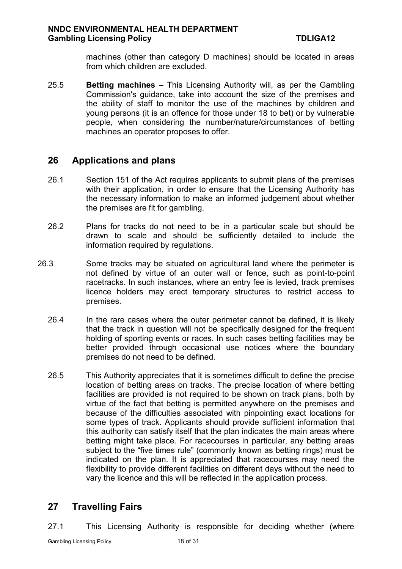machines (other than category D machines) should be located in areas from which children are excluded.

25.5 **Betting machines** – This Licensing Authority will, as per the Gambling Commission's guidance, take into account the size of the premises and the ability of staff to monitor the use of the machines by children and young persons (it is an offence for those under 18 to bet) or by vulnerable people, when considering the number/nature/circumstances of betting machines an operator proposes to offer.

# **26 Applications and plans**

- 26.1 Section 151 of the Act requires applicants to submit plans of the premises with their application, in order to ensure that the Licensing Authority has the necessary information to make an informed judgement about whether the premises are fit for gambling.
- 26.2 Plans for tracks do not need to be in a particular scale but should be drawn to scale and should be sufficiently detailed to include the information required by regulations.
- 26.3 Some tracks may be situated on agricultural land where the perimeter is not defined by virtue of an outer wall or fence, such as point-to-point racetracks. In such instances, where an entry fee is levied, track premises licence holders may erect temporary structures to restrict access to premises.
	- 26.4 In the rare cases where the outer perimeter cannot be defined, it is likely that the track in question will not be specifically designed for the frequent holding of sporting events or races. In such cases betting facilities may be better provided through occasional use notices where the boundary premises do not need to be defined.
	- 26.5 This Authority appreciates that it is sometimes difficult to define the precise location of betting areas on tracks. The precise location of where betting facilities are provided is not required to be shown on track plans, both by virtue of the fact that betting is permitted anywhere on the premises and because of the difficulties associated with pinpointing exact locations for some types of track. Applicants should provide sufficient information that this authority can satisfy itself that the plan indicates the main areas where betting might take place. For racecourses in particular, any betting areas subject to the "five times rule" (commonly known as betting rings) must be indicated on the plan. It is appreciated that racecourses may need the flexibility to provide different facilities on different days without the need to vary the licence and this will be reflected in the application process.

# **27 Travelling Fairs**

27.1 This Licensing Authority is responsible for deciding whether (where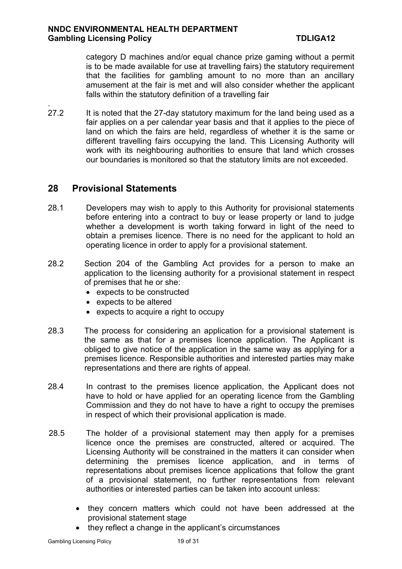category D machines and/or equal chance prize gaming without a permit is to be made available for use at travelling fairs) the statutory requirement that the facilities for gambling amount to no more than an ancillary amusement at the fair is met and will also consider whether the applicant falls within the statutory definition of a travelling fair

27.2 It is noted that the 27-day statutory maximum for the land being used as a fair applies on a per calendar year basis and that it applies to the piece of land on which the fairs are held, regardless of whether it is the same or different travelling fairs occupying the land. This Licensing Authority will work with its neighbouring authorities to ensure that land which crosses our boundaries is monitored so that the statutory limits are not exceeded.

# **28 Provisional Statements**

.

- 28.1 Developers may wish to apply to this Authority for provisional statements before entering into a contract to buy or lease property or land to judge whether a development is worth taking forward in light of the need to obtain a premises licence. There is no need for the applicant to hold an operating licence in order to apply for a provisional statement.
- 28.2 Section 204 of the Gambling Act provides for a person to make an application to the licensing authority for a provisional statement in respect of premises that he or she:
	- expects to be constructed
	- expects to be altered
	- expects to acquire a right to occupy
- 28.3 The process for considering an application for a provisional statement is the same as that for a premises licence application. The Applicant is obliged to give notice of the application in the same way as applying for a premises licence. Responsible authorities and interested parties may make representations and there are rights of appeal.
- 28.4 In contrast to the premises licence application, the Applicant does not have to hold or have applied for an operating licence from the Gambling Commission and they do not have to have a right to occupy the premises in respect of which their provisional application is made.
- 28.5 The holder of a provisional statement may then apply for a premises licence once the premises are constructed, altered or acquired. The Licensing Authority will be constrained in the matters it can consider when determining the premises licence application, and in terms of representations about premises licence applications that follow the grant of a provisional statement, no further representations from relevant authorities or interested parties can be taken into account unless:
	- they concern matters which could not have been addressed at the provisional statement stage
	- they reflect a change in the applicant's circumstances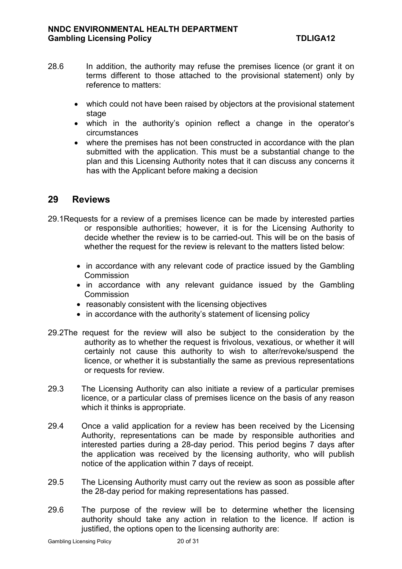- 28.6 In addition, the authority may refuse the premises licence (or grant it on terms different to those attached to the provisional statement) only by reference to matters:
	- which could not have been raised by objectors at the provisional statement stage
	- which in the authority's opinion reflect a change in the operator's circumstances
	- where the premises has not been constructed in accordance with the plan submitted with the application. This must be a substantial change to the plan and this Licensing Authority notes that it can discuss any concerns it has with the Applicant before making a decision

### **29 Reviews**

- 29.1Requests for a review of a premises licence can be made by interested parties or responsible authorities; however, it is for the Licensing Authority to decide whether the review is to be carried-out. This will be on the basis of whether the request for the review is relevant to the matters listed below:
	- in accordance with any relevant code of practice issued by the Gambling **Commission**
	- in accordance with any relevant quidance issued by the Gambling **Commission**
	- reasonably consistent with the licensing objectives
	- in accordance with the authority's statement of licensing policy
- 29.2The request for the review will also be subject to the consideration by the authority as to whether the request is frivolous, vexatious, or whether it will certainly not cause this authority to wish to alter/revoke/suspend the licence, or whether it is substantially the same as previous representations or requests for review.
- 29.3 The Licensing Authority can also initiate a review of a particular premises licence, or a particular class of premises licence on the basis of any reason which it thinks is appropriate.
- 29.4 Once a valid application for a review has been received by the Licensing Authority, representations can be made by responsible authorities and interested parties during a 28-day period. This period begins 7 days after the application was received by the licensing authority, who will publish notice of the application within 7 days of receipt.
- 29.5 The Licensing Authority must carry out the review as soon as possible after the 28-day period for making representations has passed.
- 29.6 The purpose of the review will be to determine whether the licensing authority should take any action in relation to the licence. If action is justified, the options open to the licensing authority are: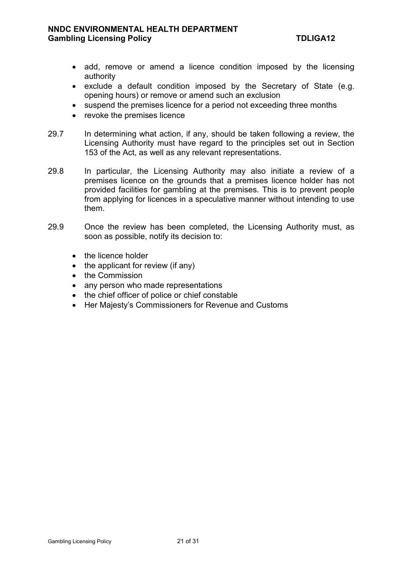- add, remove or amend a licence condition imposed by the licensing authority
- exclude a default condition imposed by the Secretary of State (e.g. opening hours) or remove or amend such an exclusion
- suspend the premises licence for a period not exceeding three months
- revoke the premises licence
- 29.7 In determining what action, if any, should be taken following a review, the Licensing Authority must have regard to the principles set out in Section 153 of the Act, as well as any relevant representations.
- 29.8 In particular, the Licensing Authority may also initiate a review of a premises licence on the grounds that a premises licence holder has not provided facilities for gambling at the premises. This is to prevent people from applying for licences in a speculative manner without intending to use them.
- 29.9 Once the review has been completed, the Licensing Authority must, as soon as possible, notify its decision to:
	- the licence holder
	- $\bullet$  the applicant for review (if any)
	- the Commission
	- any person who made representations
	- the chief officer of police or chief constable
	- Her Majesty's Commissioners for Revenue and Customs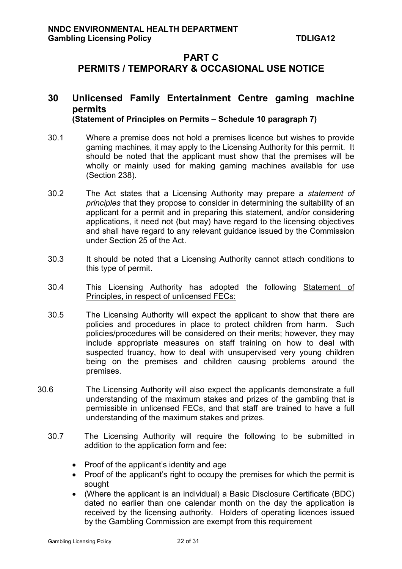# **PART C PERMITS / TEMPORARY & OCCASIONAL USE NOTICE**

#### **30 Unlicensed Family Entertainment Centre gaming machine permits (Statement of Principles on Permits – Schedule 10 paragraph 7)**

- 30.1 Where a premise does not hold a premises licence but wishes to provide gaming machines, it may apply to the Licensing Authority for this permit. It should be noted that the applicant must show that the premises will be wholly or mainly used for making gaming machines available for use (Section 238).
- 30.2 The Act states that a Licensing Authority may prepare a *statement of principles* that they propose to consider in determining the suitability of an applicant for a permit and in preparing this statement, and/or considering applications, it need not (but may) have regard to the licensing objectives and shall have regard to any relevant guidance issued by the Commission under Section 25 of the Act.
- 30.3 It should be noted that a Licensing Authority cannot attach conditions to this type of permit.
- 30.4 This Licensing Authority has adopted the following Statement of Principles, in respect of unlicensed FECs:
- 30.5 The Licensing Authority will expect the applicant to show that there are policies and procedures in place to protect children from harm. Such policies/procedures will be considered on their merits; however, they may include appropriate measures on staff training on how to deal with suspected truancy, how to deal with unsupervised very young children being on the premises and children causing problems around the premises.
- 30.6 The Licensing Authority will also expect the applicants demonstrate a full understanding of the maximum stakes and prizes of the gambling that is permissible in unlicensed FECs, and that staff are trained to have a full understanding of the maximum stakes and prizes.
	- 30.7 The Licensing Authority will require the following to be submitted in addition to the application form and fee:
		- Proof of the applicant's identity and age
		- Proof of the applicant's right to occupy the premises for which the permit is sought
		- (Where the applicant is an individual) a Basic Disclosure Certificate (BDC) dated no earlier than one calendar month on the day the application is received by the licensing authority. Holders of operating licences issued by the Gambling Commission are exempt from this requirement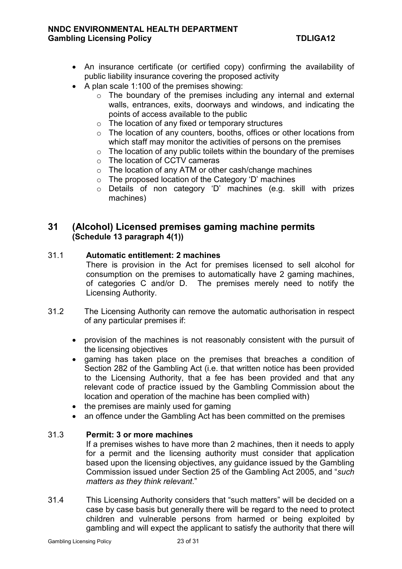- An insurance certificate (or certified copy) confirming the availability of public liability insurance covering the proposed activity
- $\bullet$  A plan scale 1:100 of the premises showing:
	- o The boundary of the premises including any internal and external walls, entrances, exits, doorways and windows, and indicating the points of access available to the public
	- o The location of any fixed or temporary structures
	- o The location of any counters, booths, offices or other locations from which staff may monitor the activities of persons on the premises
	- $\circ$  The location of any public toilets within the boundary of the premises
	- o The location of CCTV cameras
	- o The location of any ATM or other cash/change machines
	- o The proposed location of the Category 'D' machines
	- o Details of non category 'D' machines (e.g. skill with prizes machines)

### **31 (Alcohol) Licensed premises gaming machine permits (Schedule 13 paragraph 4(1))**

#### 31.1 **Automatic entitlement: 2 machines**

There is provision in the Act for premises licensed to sell alcohol for consumption on the premises to automatically have 2 gaming machines, of categories C and/or D. The premises merely need to notify the Licensing Authority.

- 31.2 The Licensing Authority can remove the automatic authorisation in respect of any particular premises if:
	- provision of the machines is not reasonably consistent with the pursuit of the licensing objectives
	- gaming has taken place on the premises that breaches a condition of Section 282 of the Gambling Act (i.e. that written notice has been provided to the Licensing Authority, that a fee has been provided and that any relevant code of practice issued by the Gambling Commission about the location and operation of the machine has been complied with)
	- the premises are mainly used for gaming
	- an offence under the Gambling Act has been committed on the premises

#### 31.3 **Permit: 3 or more machines**

If a premises wishes to have more than 2 machines, then it needs to apply for a permit and the licensing authority must consider that application based upon the licensing objectives, any guidance issued by the Gambling Commission issued under Section 25 of the Gambling Act 2005, and "*such matters as they think relevant*."

31.4 This Licensing Authority considers that "such matters" will be decided on a case by case basis but generally there will be regard to the need to protect children and vulnerable persons from harmed or being exploited by gambling and will expect the applicant to satisfy the authority that there will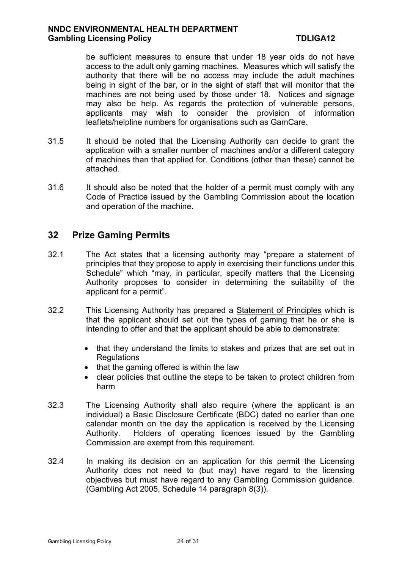be sufficient measures to ensure that under 18 year olds do not have access to the adult only gaming machines. Measures which will satisfy the authority that there will be no access may include the adult machines being in sight of the bar, or in the sight of staff that will monitor that the machines are not being used by those under 18. Notices and signage may also be help. As regards the protection of vulnerable persons, applicants may wish to consider the provision of information leaflets/helpline numbers for organisations such as GamCare.

- 31.5 It should be noted that the Licensing Authority can decide to grant the application with a smaller number of machines and/or a different category of machines than that applied for. Conditions (other than these) cannot be attached.
- 31.6 It should also be noted that the holder of a permit must comply with any Code of Practice issued by the Gambling Commission about the location and operation of the machine.

# **32 Prize Gaming Permits**

- 32.1 The Act states that a licensing authority may "prepare a statement of principles that they propose to apply in exercising their functions under this Schedule" which "may, in particular, specify matters that the Licensing Authority proposes to consider in determining the suitability of the applicant for a permit".
- 32.2 This Licensing Authority has prepared a Statement of Principles which is that the applicant should set out the types of gaming that he or she is intending to offer and that the applicant should be able to demonstrate:
	- that they understand the limits to stakes and prizes that are set out in **Regulations**
	- $\bullet$  that the gaming offered is within the law
	- clear policies that outline the steps to be taken to protect children from harm
- 32.3 The Licensing Authority shall also require (where the applicant is an individual) a Basic Disclosure Certificate (BDC) dated no earlier than one calendar month on the day the application is received by the Licensing Authority. Holders of operating licences issued by the Gambling Commission are exempt from this requirement.
- 32.4 In making its decision on an application for this permit the Licensing Authority does not need to (but may) have regard to the licensing objectives but must have regard to any Gambling Commission guidance. (Gambling Act 2005, Schedule 14 paragraph 8(3)).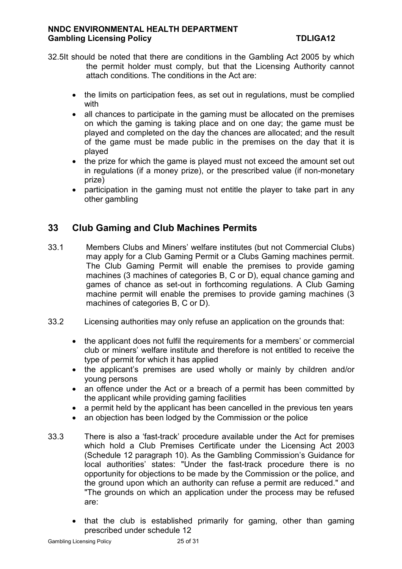- 32.5It should be noted that there are conditions in the Gambling Act 2005 by which the permit holder must comply, but that the Licensing Authority cannot attach conditions. The conditions in the Act are:
	- the limits on participation fees, as set out in regulations, must be complied with
	- all chances to participate in the gaming must be allocated on the premises on which the gaming is taking place and on one day; the game must be played and completed on the day the chances are allocated; and the result of the game must be made public in the premises on the day that it is played
	- the prize for which the game is played must not exceed the amount set out in regulations (if a money prize), or the prescribed value (if non-monetary prize)
	- participation in the gaming must not entitle the player to take part in any other gambling

# **33 Club Gaming and Club Machines Permits**

- 33.1 Members Clubs and Miners' welfare institutes (but not Commercial Clubs) may apply for a Club Gaming Permit or a Clubs Gaming machines permit. The Club Gaming Permit will enable the premises to provide gaming machines (3 machines of categories B, C or D), equal chance gaming and games of chance as set-out in forthcoming regulations. A Club Gaming machine permit will enable the premises to provide gaming machines (3 machines of categories B, C or D).
- 33.2 Licensing authorities may only refuse an application on the grounds that:
	- the applicant does not fulfil the requirements for a members' or commercial club or miners' welfare institute and therefore is not entitled to receive the type of permit for which it has applied
	- the applicant's premises are used wholly or mainly by children and/or young persons
	- an offence under the Act or a breach of a permit has been committed by the applicant while providing gaming facilities
	- a permit held by the applicant has been cancelled in the previous ten years
	- an objection has been lodged by the Commission or the police
- 33.3 There is also a 'fast-track' procedure available under the Act for premises which hold a Club Premises Certificate under the Licensing Act 2003 (Schedule 12 paragraph 10). As the Gambling Commission's Guidance for local authorities' states: "Under the fast-track procedure there is no opportunity for objections to be made by the Commission or the police, and the ground upon which an authority can refuse a permit are reduced." and "The grounds on which an application under the process may be refused are:
	- that the club is established primarily for gaming, other than gaming prescribed under schedule 12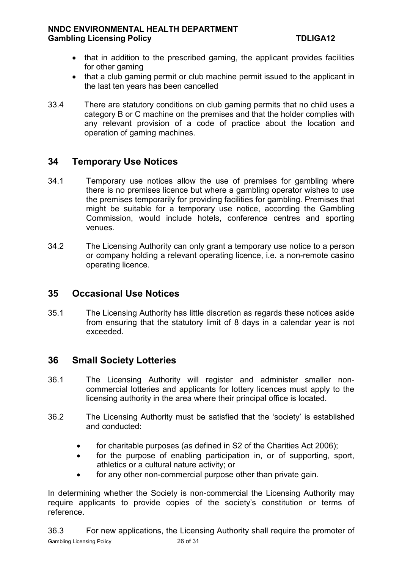- that in addition to the prescribed gaming, the applicant provides facilities for other gaming
- that a club gaming permit or club machine permit issued to the applicant in the last ten years has been cancelled
- 33.4 There are statutory conditions on club gaming permits that no child uses a category B or C machine on the premises and that the holder complies with any relevant provision of a code of practice about the location and operation of gaming machines.

# **34 Temporary Use Notices**

- 34.1 Temporary use notices allow the use of premises for gambling where there is no premises licence but where a gambling operator wishes to use the premises temporarily for providing facilities for gambling. Premises that might be suitable for a temporary use notice, according the Gambling Commission, would include hotels, conference centres and sporting venues.
- 34.2 The Licensing Authority can only grant a temporary use notice to a person or company holding a relevant operating licence, i.e. a non-remote casino operating licence.

# **35 Occasional Use Notices**

35.1 The Licensing Authority has little discretion as regards these notices aside from ensuring that the statutory limit of 8 days in a calendar year is not exceeded.

# **36 Small Society Lotteries**

- 36.1 The Licensing Authority will register and administer smaller noncommercial lotteries and applicants for lottery licences must apply to the licensing authority in the area where their principal office is located.
- 36.2 The Licensing Authority must be satisfied that the 'society' is established and conducted:
	- for charitable purposes (as defined in S2 of the Charities Act 2006);
	- for the purpose of enabling participation in, or of supporting, sport, athletics or a cultural nature activity; or
	- for any other non-commercial purpose other than private gain.

In determining whether the Society is non-commercial the Licensing Authority may require applicants to provide copies of the society's constitution or terms of reference.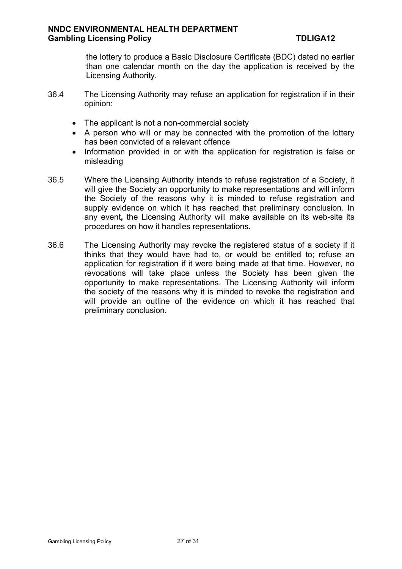the lottery to produce a Basic Disclosure Certificate (BDC) dated no earlier than one calendar month on the day the application is received by the Licensing Authority.

- 36.4 The Licensing Authority may refuse an application for registration if in their opinion:
	- The applicant is not a non-commercial society
	- A person who will or may be connected with the promotion of the lottery has been convicted of a relevant offence
	- Information provided in or with the application for registration is false or misleading
- 36.5 Where the Licensing Authority intends to refuse registration of a Society, it will give the Society an opportunity to make representations and will inform the Society of the reasons why it is minded to refuse registration and supply evidence on which it has reached that preliminary conclusion. In any event**,** the Licensing Authority will make available on its web-site its procedures on how it handles representations.
- 36.6 The Licensing Authority may revoke the registered status of a society if it thinks that they would have had to, or would be entitled to; refuse an application for registration if it were being made at that time. However, no revocations will take place unless the Society has been given the opportunity to make representations. The Licensing Authority will inform the society of the reasons why it is minded to revoke the registration and will provide an outline of the evidence on which it has reached that preliminary conclusion.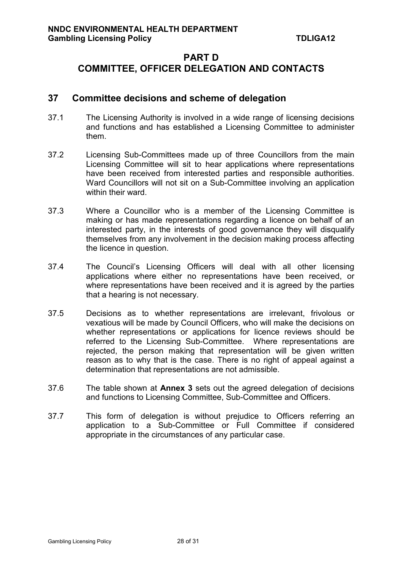# **PART D COMMITTEE, OFFICER DELEGATION AND CONTACTS**

# **37 Committee decisions and scheme of delegation**

- 37.1 The Licensing Authority is involved in a wide range of licensing decisions and functions and has established a Licensing Committee to administer them.
- 37.2 Licensing Sub-Committees made up of three Councillors from the main Licensing Committee will sit to hear applications where representations have been received from interested parties and responsible authorities. Ward Councillors will not sit on a Sub-Committee involving an application within their ward.
- 37.3 Where a Councillor who is a member of the Licensing Committee is making or has made representations regarding a licence on behalf of an interested party, in the interests of good governance they will disqualify themselves from any involvement in the decision making process affecting the licence in question.
- 37.4 The Council's Licensing Officers will deal with all other licensing applications where either no representations have been received, or where representations have been received and it is agreed by the parties that a hearing is not necessary.
- 37.5 Decisions as to whether representations are irrelevant, frivolous or vexatious will be made by Council Officers, who will make the decisions on whether representations or applications for licence reviews should be referred to the Licensing Sub-Committee. Where representations are rejected, the person making that representation will be given written reason as to why that is the case. There is no right of appeal against a determination that representations are not admissible.
- 37.6 The table shown at **Annex 3** sets out the agreed delegation of decisions and functions to Licensing Committee, Sub-Committee and Officers.
- 37.7 This form of delegation is without prejudice to Officers referring an application to a Sub-Committee or Full Committee if considered appropriate in the circumstances of any particular case.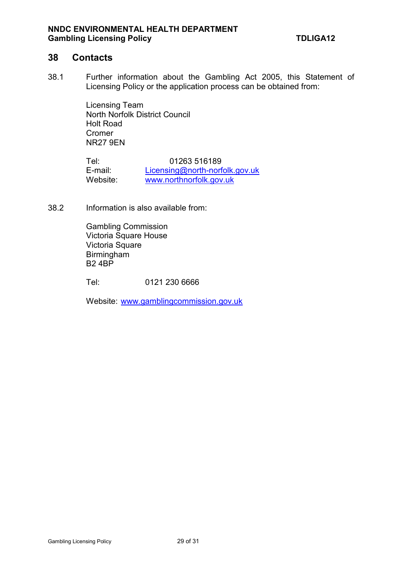#### **38 Contacts**

38.1 Further information about the Gambling Act 2005, this Statement of Licensing Policy or the application process can be obtained from:

> Licensing Team North Norfolk District Council Holt Road Cromer NR27 9EN

Tel: 01263 516189<br>E-mail: Licensing@north-norf Licensing@north-norfolk.gov.uk Website: www.northnorfolk.gov.uk

38.2 Information is also available from:

Gambling Commission Victoria Square House Victoria Square Birmingham B2 4BP

Tel: 0121 230 6666

Website: www.gamblingcommission.gov.uk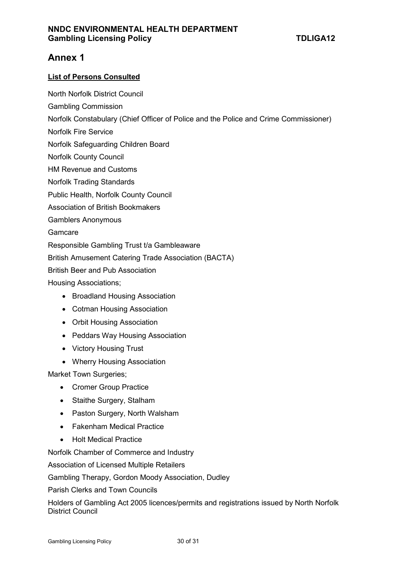# **Annex 1**

#### **List of Persons Consulted**

- North Norfolk District Council
- Gambling Commission
- Norfolk Constabulary (Chief Officer of Police and the Police and Crime Commissioner)
- Norfolk Fire Service
- Norfolk Safeguarding Children Board
- Norfolk County Council
- HM Revenue and Customs
- Norfolk Trading Standards
- Public Health, Norfolk County Council
- Association of British Bookmakers
- Gamblers Anonymous

#### Gamcare

Responsible Gambling Trust t/a Gambleaware

British Amusement Catering Trade Association (BACTA)

British Beer and Pub Association

Housing Associations;

- Broadland Housing Association
- Cotman Housing Association
- Orbit Housing Association
- Peddars Way Housing Association
- Victory Housing Trust
- Wherry Housing Association

Market Town Surgeries;

- Cromer Group Practice
- Staithe Surgery, Stalham
- Paston Surgery, North Walsham
- Fakenham Medical Practice
- Holt Medical Practice

Norfolk Chamber of Commerce and Industry

Association of Licensed Multiple Retailers

Gambling Therapy, Gordon Moody Association, Dudley

Parish Clerks and Town Councils

Holders of Gambling Act 2005 licences/permits and registrations issued by North Norfolk District Council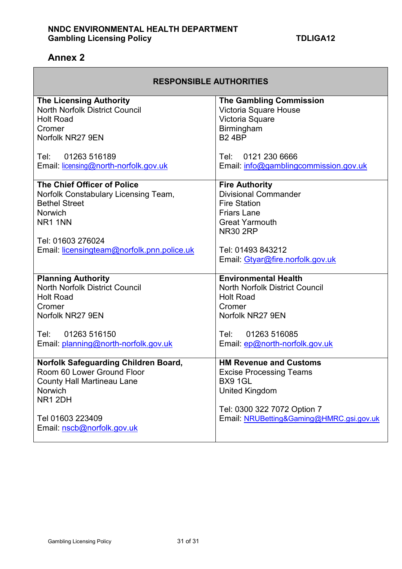# **Annex 2**

| <b>RESPONSIBLE AUTHORITIES</b>                               |                                                    |  |  |  |
|--------------------------------------------------------------|----------------------------------------------------|--|--|--|
| <b>The Licensing Authority</b>                               | <b>The Gambling Commission</b>                     |  |  |  |
| <b>North Norfolk District Council</b>                        | Victoria Square House                              |  |  |  |
| <b>Holt Road</b>                                             | Victoria Square                                    |  |  |  |
| Cromer                                                       | Birmingham                                         |  |  |  |
| Norfolk NR27 9EN                                             | <b>B24BP</b>                                       |  |  |  |
| 01263 516189<br>Tel:                                         | 0121 230 6666<br>Tel:                              |  |  |  |
| Email: licensing@north-norfolk.gov.uk                        | Email: info@gamblingcommission.gov.uk              |  |  |  |
|                                                              |                                                    |  |  |  |
| The Chief Officer of Police                                  | <b>Fire Authority</b>                              |  |  |  |
| Norfolk Constabulary Licensing Team,<br><b>Bethel Street</b> | <b>Divisional Commander</b><br><b>Fire Station</b> |  |  |  |
| <b>Norwich</b>                                               | <b>Friars Lane</b>                                 |  |  |  |
| NR <sub>1</sub> 1NN                                          | <b>Great Yarmouth</b>                              |  |  |  |
|                                                              | <b>NR30 2RP</b>                                    |  |  |  |
| Tel: 01603 276024                                            |                                                    |  |  |  |
| Email: licensingteam@norfolk.pnn.police.uk                   | Tel: 01493 843212                                  |  |  |  |
|                                                              | Email: Gtyar@fire.norfolk.gov.uk                   |  |  |  |
| <b>Planning Authority</b>                                    | <b>Environmental Health</b>                        |  |  |  |
| <b>North Norfolk District Council</b>                        | <b>North Norfolk District Council</b>              |  |  |  |
| <b>Holt Road</b>                                             | <b>Holt Road</b>                                   |  |  |  |
| Cromer                                                       | Cromer                                             |  |  |  |
| Norfolk NR27 9EN                                             | Norfolk NR27 9EN                                   |  |  |  |
|                                                              | 01263 516085                                       |  |  |  |
| Tel:<br>01263 516150<br>Email: planning@north-norfolk.gov.uk | Tel:<br>Email: ep@north-norfolk.gov.uk             |  |  |  |
|                                                              |                                                    |  |  |  |
| Norfolk Safeguarding Children Board,                         | <b>HM Revenue and Customs</b>                      |  |  |  |
| Room 60 Lower Ground Floor                                   | <b>Excise Processing Teams</b>                     |  |  |  |
| <b>County Hall Martineau Lane</b>                            | <b>BX9 1GL</b>                                     |  |  |  |
| Norwich                                                      | <b>United Kingdom</b>                              |  |  |  |
| <b>NR1 2DH</b>                                               | Tel: 0300 322 7072 Option 7                        |  |  |  |
| Tel 01603 223409                                             | Email: NRUBetting&Gaming@HMRC.gsi.gov.uk           |  |  |  |
| Email: nscb@norfolk.gov.uk                                   |                                                    |  |  |  |
|                                                              |                                                    |  |  |  |